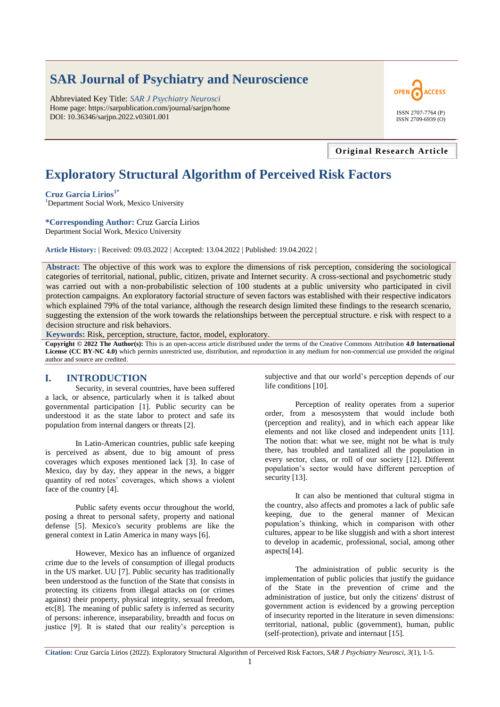# **SAR Journal of Psychiatry and Neuroscience**

Abbreviated Key Title: *SAR J Psychiatry Neurosci* Home page: https://sarpublication.com/journal/sarjpn/home DOI: 10.36346/sarjpn.2022.v03i01.001



#### **Original Research Article**

## **Exploratory Structural Algorithm of Perceived Risk Factors**

**Cruz García Lirios1\***

<sup>1</sup>Department Social Work, Mexico University

**\*Corresponding Author:** Cruz García Lirios

Department Social Work, Mexico University

**Article History: |** Received: 09.03.2022 **|** Accepted: 13.04.2022 **|** Published: 19.04.2022 **|**

**Abstract:** The objective of this work was to explore the dimensions of risk perception, considering the sociological categories of territorial, national, public, citizen, private and Internet security. A cross-sectional and psychometric study was carried out with a non-probabilistic selection of 100 students at a public university who participated in civil protection campaigns. An exploratory factorial structure of seven factors was established with their respective indicators which explained 79% of the total variance, although the research design limited these findings to the research scenario, suggesting the extension of the work towards the relationships between the perceptual structure. e risk with respect to a decision structure and risk behaviors.

**Keywords:** Risk, perception, structure, factor, model, exploratory.

**Copyright © 2022 The Author(s):** This is an open-access article distributed under the terms of the Creative Commons Attribution **4.0 International License (CC BY-NC 4.0)** which permits unrestricted use, distribution, and reproduction in any medium for non-commercial use provided the original author and source are credited.

#### **I. INTRODUCTION**

Security, in several countries, have been suffered a lack, or absence, particularly when it is talked about governmental participation [1]. Public security can be understood it as the state labor to protect and safe its population from internal dangers or threats [2].

In Latin-American countries, public safe keeping is perceived as absent, due to big amount of press coverages which exposes mentioned lack [3]. In case of Mexico, day by day, they appear in the news, a bigger quantity of red notes' coverages, which shows a violent face of the country [4].

Public safety events occur throughout the world, posing a threat to personal safety, property and national defense [5]. Mexico's security problems are like the general context in Latin America in many ways [6].

However, Mexico has an influence of organized crime due to the levels of consumption of illegal products in the US market. UU [7]. Public security has traditionally been understood as the function of the State that consists in protecting its citizens from illegal attacks on (or crimes against) their property, physical integrity, sexual freedom, etc[8]. The meaning of public safety is inferred as security of persons: inherence, inseparability, breadth and focus on justice [9]. It is stated that our reality's perception is subjective and that our world's perception depends of our life conditions [10].

Perception of reality operates from a superior order, from a mesosystem that would include both (perception and reality), and in which each appear like elements and not like closed and independent units [11]. The notion that: what we see, might not be what is truly there, has troubled and tantalized all the population in every sector, class, or roll of our society [12]. Different population's sector would have different perception of security [13].

It can also be mentioned that cultural stigma in the country, also affects and promotes a lack of public safe keeping, due to the general manner of Mexican population's thinking, which in comparison with other cultures, appear to be like sluggish and with a short interest to develop in academic, professional, social, among other aspects[14].

The administration of public security is the implementation of public policies that justify the guidance of the State in the prevention of crime and the administration of justice, but only the citizens' distrust of government action is evidenced by a growing perception of insecurity reported in the literature in seven dimensions: territorial, national, public (government), human, public (self-protection), private and internaut [15].

**Citation:** Cruz García Lirios (2022). Exploratory Structural Algorithm of Perceived Risk Factors, *SAR J Psychiatry Neurosci*, *3*(1), 1-5.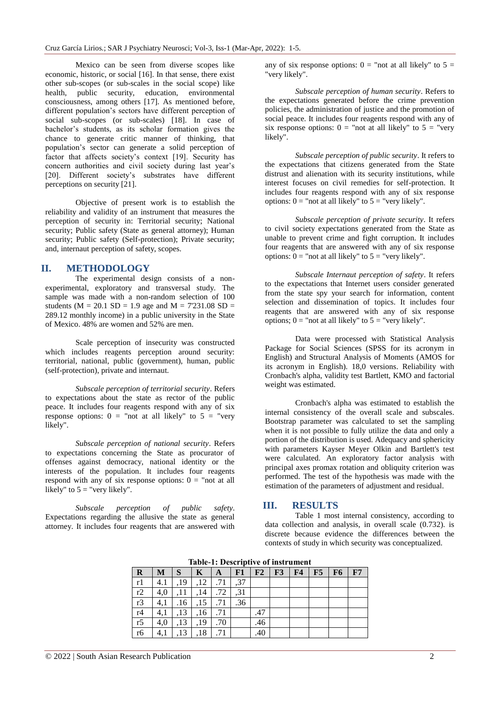Mexico can be seen from diverse scopes like economic, historic, or social [16]. In that sense, there exist other sub-scopes (or sub-scales in the social scope) like health, public security, education, environmental consciousness, among others [17]. As mentioned before, different population's sectors have different perception of social sub-scopes (or sub-scales) [18]. In case of bachelor's students, as its scholar formation gives the chance to generate critic manner of thinking, that population's sector can generate a solid perception of factor that affects society's context [19]. Security has concern authorities and civil society during last year's [20]. Different society's substrates have different perceptions on security [21].

Objective of present work is to establish the reliability and validity of an instrument that measures the perception of security in: Territorial security; National security; Public safety (State as general attorney); Human security; Public safety (Self-protection); Private security; and, internaut perception of safety, scopes.

#### **II. METHODOLOGY**

The experimental design consists of a nonexperimental, exploratory and transversal study. The sample was made with a non-random selection of 100 students ( $M = 20.1$  SD = 1.9 age and  $M = 7'231.08$  SD = 289.12 monthly income) in a public university in the State of Mexico. 48% are women and 52% are men.

Scale perception of insecurity was constructed which includes reagents perception around security: territorial, national, public (government), human, public (self-protection), private and internaut.

*Subscale perception of territorial security*. Refers to expectations about the state as rector of the public peace. It includes four reagents respond with any of six response options:  $0 =$  "not at all likely" to  $5 =$  "very" likely".

*Subscale perception of national security*. Refers to expectations concerning the State as procurator of offenses against democracy, national identity or the interests of the population. It includes four reagents respond with any of six response options:  $0 =$  "not at all likely" to  $5 =$  "very likely".

*Subscale perception of public safety*. Expectations regarding the allusive the state as general attorney. It includes four reagents that are answered with any of six response options:  $0 =$  "not at all likely" to  $5 =$ "very likely".

*Subscale perception of human security*. Refers to the expectations generated before the crime prevention policies, the administration of justice and the promotion of social peace. It includes four reagents respond with any of six response options:  $0 =$  "not at all likely" to  $5 =$  "very" likely".

*Subscale perception of public security*. It refers to the expectations that citizens generated from the State distrust and alienation with its security institutions, while interest focuses on civil remedies for self-protection. It includes four reagents respond with any of six response options:  $0 =$  "not at all likely" to  $5 =$  "very likely".

*Subscale perception of private security*. It refers to civil society expectations generated from the State as unable to prevent crime and fight corruption. It includes four reagents that are answered with any of six response options:  $0 =$  "not at all likely" to  $5 =$  "very likely".

*Subscale Internaut perception of safety*. It refers to the expectations that Internet users consider generated from the state spy your search for information, content selection and dissemination of topics. It includes four reagents that are answered with any of six response options;  $0 =$  "not at all likely" to  $5 =$  "very likely".

Data were processed with Statistical Analysis Package for Social Sciences (SPSS for its acronym in English) and Structural Analysis of Moments (AMOS for its acronym in English). 18,0 versions. Reliability with Cronbach's alpha, validity test Bartlett, KMO and factorial weight was estimated.

Cronbach's alpha was estimated to establish the internal consistency of the overall scale and subscales. Bootstrap parameter was calculated to set the sampling when it is not possible to fully utilize the data and only a portion of the distribution is used. Adequacy and sphericity with parameters Kayser Meyer Olkin and Bartlett's test were calculated. An exploratory factor analysis with principal axes promax rotation and obliquity criterion was performed. The test of the hypothesis was made with the estimation of the parameters of adjustment and residual.

## **III. RESULTS**

Table 1 most internal consistency, according to data collection and analysis, in overall scale (0.732). is discrete because evidence the differences between the contexts of study in which security was conceptualized.

**Table-1: Descriptive of instrument**

| $\mathbf R$     | M   | S   | K   | A   | ${\bf F1}$ | F2  | F3 | F <sub>4</sub> | F5 | F6 | F7 |  |
|-----------------|-----|-----|-----|-----|------------|-----|----|----------------|----|----|----|--|
| r1              | 4.1 | ,19 | ,12 | .71 | ,37        |     |    |                |    |    |    |  |
| $\overline{r2}$ | 4,0 | .11 | ,14 | .72 | , 31       |     |    |                |    |    |    |  |
| r3              | 4,1 | .16 | ,15 | .71 | .36        |     |    |                |    |    |    |  |
| r <sub>4</sub>  | 4,1 | ,13 | ,16 | .71 |            | .47 |    |                |    |    |    |  |
| r <sub>5</sub>  | 4,0 | ,13 | ,19 | .70 |            | .46 |    |                |    |    |    |  |
| r6              | 4,1 | 13  | 18  | .71 |            | .40 |    |                |    |    |    |  |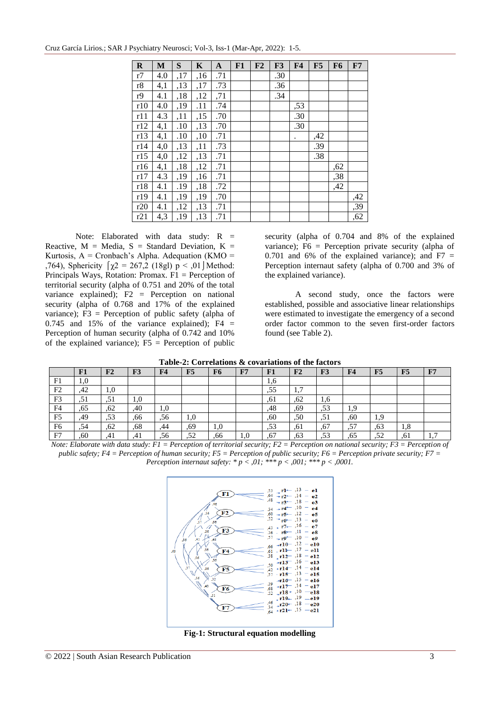Cruz García Lirios*.*; SAR J Psychiatry Neurosci; Vol-3, Iss-1 (Mar-Apr, 2022): 1-5.

| $\mathbf R$ | M   | S   | $\mathbf K$ | $\mathbf{A}$ | F1 | F2 | F3  | F <sub>4</sub>       | F5  | F <sub>6</sub> | F7  |
|-------------|-----|-----|-------------|--------------|----|----|-----|----------------------|-----|----------------|-----|
| r7          | 4.0 | ,17 | ,16         | .71          |    |    | .30 |                      |     |                |     |
| r8          | 4,1 | ,13 | ,17         | .73          |    |    | .36 |                      |     |                |     |
| r9          | 4.1 | ,18 | ,12         | ,71          |    |    | .34 |                      |     |                |     |
| r10         | 4.0 | ,19 | .11         | .74          |    |    |     | ,53                  |     |                |     |
| r11         | 4.3 | ,11 | ,15         | .70          |    |    |     | .30                  |     |                |     |
| r12         | 4,1 | .10 | ,13         | .70          |    |    |     | .30                  |     |                |     |
| r13         | 4,1 | .10 | ,10         | .71          |    |    |     | $\ddot{\phantom{0}}$ | ,42 |                |     |
| r14         | 4,0 | ,13 | ,11         | .73          |    |    |     |                      | .39 |                |     |
| r15         | 4,0 | ,12 | ,13         | .71          |    |    |     |                      | .38 |                |     |
| r16         | 4,1 | ,18 | ,12         | .71          |    |    |     |                      |     | ,62            |     |
| r17         | 4.3 | ,19 | ,16         | .71          |    |    |     |                      |     | ,38            |     |
| r18         | 4.1 | .19 | ,18         | .72          |    |    |     |                      |     | ,42            |     |
| r19         | 4.1 | ,19 | ,19         | .70          |    |    |     |                      |     |                | ,42 |
| r20         | 4.1 | ,12 | ,13         | .71          |    |    |     |                      |     |                | ,39 |
| r21         | 4,3 | ,19 | ,13         | .71          |    |    |     |                      |     |                | ,62 |

Note: Elaborated with data study: R = Reactive,  $M = Media$ ,  $S = Standard Deviation$ ,  $K =$ Kurtosis,  $A =$  Cronbach's Alpha. Adequation (KMO = ,764), Sphericity  $\[\gamma2 = 267, \frac{2}{18g}\]$  p < ,01 | Method: Principals Ways, Rotation: Promax.  $F1$  = Perception of territorial security (alpha of 0.751 and 20% of the total variance explained):  $F2 =$  Perception on national security (alpha of 0.768 and 17% of the explained variance); F3 = Perception of public safety (alpha of  $0.745$  and  $15\%$  of the variance explained); F4 = Perception of human security (alpha of 0.742 and 10% of the explained variance);  $F5$  = Perception of public

security (alpha of 0.704 and 8% of the explained variance); F6 = Perception private security (alpha of 0.701 and 6% of the explained variance); and  $F7 =$ Perception internaut safety (alpha of 0.700 and 3% of the explained variance).

A second study, once the factors were established, possible and associative linear relationships were estimated to investigate the emergency of a second order factor common to the seven first-order factors found (see Table 2).

| Table-2: Correlations & covariations of the factors |  |  |  |  |
|-----------------------------------------------------|--|--|--|--|
|-----------------------------------------------------|--|--|--|--|

| Table-2. Correlations & covariations of the factors |                                                                                                                                                                                                  |     |     |                |     |     |     |     |     |                |                |     |     |     |
|-----------------------------------------------------|--------------------------------------------------------------------------------------------------------------------------------------------------------------------------------------------------|-----|-----|----------------|-----|-----|-----|-----|-----|----------------|----------------|-----|-----|-----|
|                                                     | F1                                                                                                                                                                                               | F2  | F3  | F <sub>4</sub> | F5  | F6  | F7  | F1  | F2  | F <sub>3</sub> | F <sub>4</sub> | F5  | F5  | F7  |
| F1                                                  | 1,0                                                                                                                                                                                              |     |     |                |     |     |     | 1,6 |     |                |                |     |     |     |
| F <sub>2</sub>                                      | .42                                                                                                                                                                                              | 1,0 |     |                |     |     |     | .55 | 1,7 |                |                |     |     |     |
| F3                                                  | .51                                                                                                                                                                                              | .51 | 1,0 |                |     |     |     | .61 | .62 | 1,6            |                |     |     |     |
| F4                                                  | .65                                                                                                                                                                                              | .62 | .40 | 1,0            |     |     |     | .48 | ,69 | .53            | 1,9            |     |     |     |
| F <sub>5</sub>                                      | .49                                                                                                                                                                                              | .53 | .66 | .56            | 1,0 |     |     | .60 | ,50 | .51            | .60            | 1.9 |     |     |
| F <sub>6</sub>                                      | .54                                                                                                                                                                                              | ,62 | ,68 | .44            | ,69 | 1,0 |     | .53 | ,61 | .67            | ,57            | .63 | 1,8 |     |
| F7                                                  | .60                                                                                                                                                                                              | .41 | .41 | .56            | .52 | .66 | 1,0 | .67 | .63 | .53            | .65            | .52 | .61 | 1,7 |
|                                                     | $\mathbf{v}$ and $\mathbf{v}$<br>$\mathbf{r}$ $\mathbf{r}$<br>$\sim$<br>$\sim$ $\sim$ $\sim$ $\sim$ $\sim$ $\sim$<br>$\mathbf{r}$ $\mathbf{r}$ $\mathbf{r}$<br>$\sim$ $\sim$<br>$\sim$<br>$\sim$ |     |     |                |     |     |     |     |     |                |                |     |     |     |

*Note: Elaborate with data study: F1 = Perception of territorial security; F2 = Perception on national security; F3 = Perception of public safety; F4 = Perception of human security; F5 = Perception of public security; F6 = Perception private security; F7 = Perception internaut safety: \* p < ,01; \*\*\* p < ,001; \*\*\* p < ,0001.*



**Fig-1: Structural equation modelling**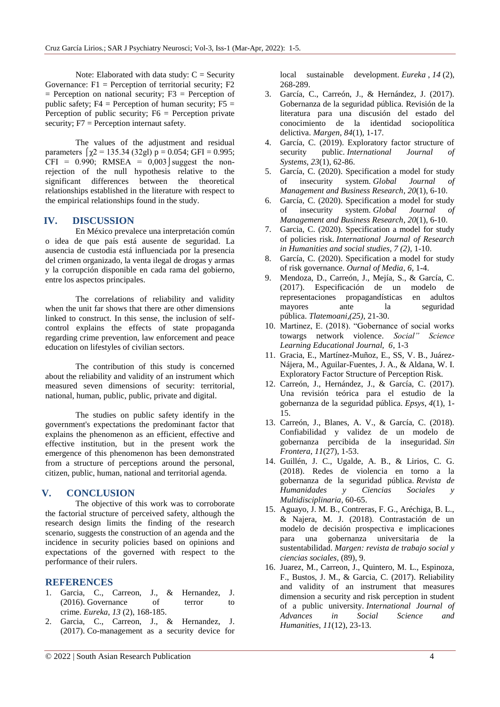Note: Elaborated with data study:  $C =$  Security Governance:  $F1$  = Perception of territorial security;  $F2$  $=$  Perception on national security; F3  $=$  Perception of public safety;  $F4$  = Perception of human security;  $F5$  = Perception of public security;  $F6 =$  Perception private security; F7 = Perception internaut safety.

The values of the adjustment and residual parameters  $\lceil \gamma 2 \rceil = 135.34$  (32gl)  $p = 0.054$ ; GFI = 0.995; CFI =  $0.990$ ; RMSEA =  $0.003$  suggest the nonrejection of the null hypothesis relative to the significant differences between the theoretical relationships established in the literature with respect to the empirical relationships found in the study.

## **IV. DISCUSSION**

En México prevalece una interpretación común o idea de que país está ausente de seguridad. La ausencia de custodia está influenciada por la presencia del crimen organizado, la venta ilegal de drogas y armas y la corrupción disponible en cada rama del gobierno, entre los aspectos principales.

The correlations of reliability and validity when the unit far shows that there are other dimensions linked to construct. In this sense, the inclusion of selfcontrol explains the effects of state propaganda regarding crime prevention, law enforcement and peace education on lifestyles of civilian sectors.

The contribution of this study is concerned about the reliability and validity of an instrument which measured seven dimensions of security: territorial, national, human, public, public, private and digital.

The studies on public safety identify in the government's expectations the predominant factor that explains the phenomenon as an efficient, effective and effective institution, but in the present work the emergence of this phenomenon has been demonstrated from a structure of perceptions around the personal, citizen, public, human, national and territorial agenda.

## **V. CONCLUSION**

The objective of this work was to corroborate the factorial structure of perceived safety, although the research design limits the finding of the research scenario, suggests the construction of an agenda and the incidence in security policies based on opinions and expectations of the governed with respect to the performance of their rulers.

## **REFERENCES**

- 1. Garcia, C., Carreon, J., & Hernandez, J. (2016). Governance of terror to crime. *Eureka*, *13* (2), 168-185.
- 2. Garcia, C., Carreon, J., & Hernandez, J. (2017). Co-management as a security device for

local sustainable development. *Eureka* , *14* (2), 268-289.

- 3. García, C., Carreón, J., & Hernández, J. (2017). Gobernanza de la seguridad pública. Revisión de la literatura para una discusión del estado del conocimiento de la identidad sociopolítica delictiva. *Margen*, *84*(1), 1-17.
- 4. García, C. (2019). Exploratory factor structure of security public. *International Journal of Systems*, *23*(1), 62-86.
- 5. García, C. (2020). Specification a model for study of insecurity system. *Global Journal of Management and Business Research*, *20*(1), 6-10.
- 6. García, C. (2020). Specification a model for study of insecurity system. *Global Journal of Management and Business Research*, *20*(1), 6-10.
- 7. Garcia, C. (2020). Specification a model for study of policies risk. *International Journal of Research in Humanities and social studies, 7 (2)*, 1-10.
- 8. García, C. (2020). Specification a model for study of risk governance. *Ournal of Media*, *6*, 1-4.
- 9. Mendoza, D., Carreón, J., Mejía, S., & García, C. (2017). Especificación de un modelo de representaciones propagandísticas en adultos mayores ante la seguridad pública. *Tlatemoani,(25)*, 21-30.
- 10. Martinez, E. (2018). "Gobernance of social works towargs network violence. *Social" Science Learning Educational Journal, 6*, 1-3
- 11. Gracia, E., Martínez-Muñoz, E., SS, V. B., Juárez-Nájera, M., Aguilar-Fuentes, J. A., & Aldana, W. I. Exploratory Factor Structure of Perception Risk.
- 12. Carreón, J., Hernández, J., & García, C. (2017). Una revisión teórica para el estudio de la gobernanza de la seguridad pública. *Epsys*, *4*(1), 1- 15.
- 13. Carreón, J., Blanes, A. V., & García, C. (2018). Confiabilidad y validez de un modelo de gobernanza percibida de la inseguridad. *Sin Frontera*, *11*(27), 1-53.
- 14. Guillén, J. C., Ugalde, A. B., & Lirios, C. G. (2018). Redes de violencia en torno a la gobernanza de la seguridad pública. *Revista de Humanidades y Ciencias Sociales y Multidisciplinaria*, 60-65.
- 15. Aguayo, J. M. B., Contreras, F. G., Aréchiga, B. L., & Najera, M. J. (2018). Contrastación de un modelo de decisión prospectiva e implicaciones para una gobernanza universitaria de la sustentabilidad. *Margen: revista de trabajo social y ciencias sociales*, (89), 9.
- 16. Juarez, M., Carreon, J., Quintero, M. L., Espinoza, F., Bustos, J. M., & Garcia, C. (2017). Reliability and validity of an instrument that measures dimension a security and risk perception in student of a public university. *International Journal of Advances in Social Science and Humanities*, *11*(12), 23-13.